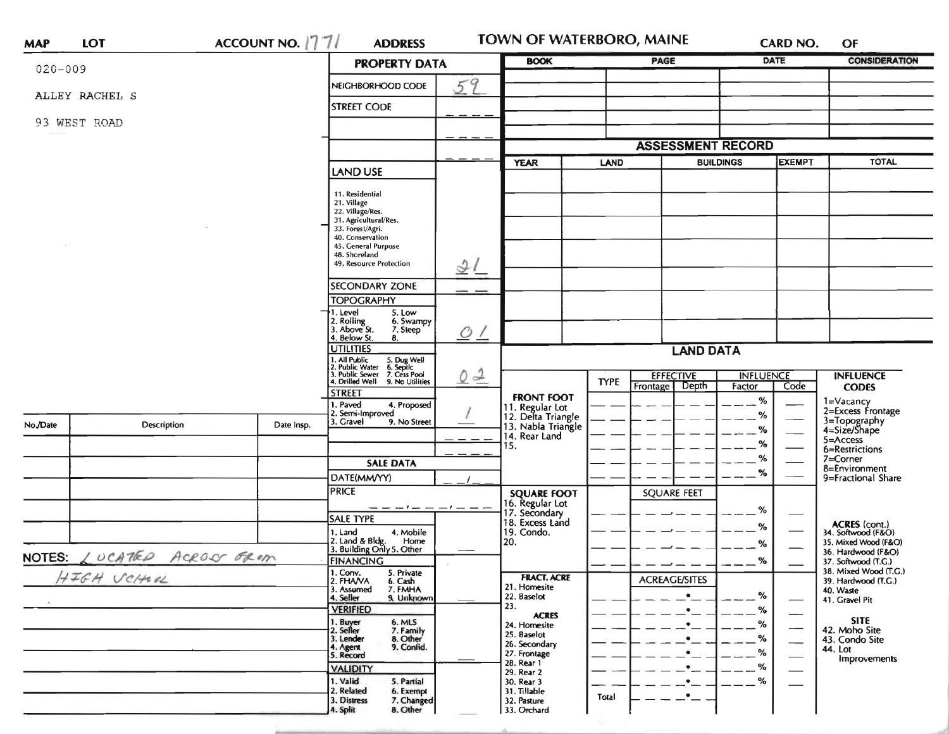| <b>MAP</b>  | <b>LOT</b>          |                 | ACCOUNT NO. 1771                                                                    | <b>ADDRESS</b>                                                                                                                                                                                                                                                                                                                          |                      | TOWN OF WATERBORO, MAINE                                                                                                                                     |                                        |                                                                                         |                                     | CARD NO.                                                                                                 | OF                                                                                                                        |
|-------------|---------------------|-----------------|-------------------------------------------------------------------------------------|-----------------------------------------------------------------------------------------------------------------------------------------------------------------------------------------------------------------------------------------------------------------------------------------------------------------------------------------|----------------------|--------------------------------------------------------------------------------------------------------------------------------------------------------------|----------------------------------------|-----------------------------------------------------------------------------------------|-------------------------------------|----------------------------------------------------------------------------------------------------------|---------------------------------------------------------------------------------------------------------------------------|
| $020 - 009$ |                     |                 |                                                                                     |                                                                                                                                                                                                                                                                                                                                         | <b>PROPERTY DATA</b> |                                                                                                                                                              |                                        | <b>PAGE</b>                                                                             |                                     | <b>DATE</b>                                                                                              | <b>CONSIDERATION</b>                                                                                                      |
|             | ALLEY RACHEL S      |                 |                                                                                     | NEIGHBORHOOD CODE                                                                                                                                                                                                                                                                                                                       | 59                   |                                                                                                                                                              |                                        |                                                                                         |                                     |                                                                                                          |                                                                                                                           |
|             |                     |                 |                                                                                     | <b>STREET CODE</b>                                                                                                                                                                                                                                                                                                                      |                      |                                                                                                                                                              |                                        |                                                                                         |                                     |                                                                                                          |                                                                                                                           |
|             | 93 WEST ROAD        |                 |                                                                                     |                                                                                                                                                                                                                                                                                                                                         |                      |                                                                                                                                                              |                                        |                                                                                         |                                     |                                                                                                          |                                                                                                                           |
|             |                     |                 |                                                                                     |                                                                                                                                                                                                                                                                                                                                         |                      |                                                                                                                                                              |                                        | <b>ASSESSMENT RECORD</b>                                                                |                                     |                                                                                                          |                                                                                                                           |
|             |                     | <b>LAND USE</b> |                                                                                     | <b>YEAR</b>                                                                                                                                                                                                                                                                                                                             | LAND                 |                                                                                                                                                              | <b>EXEMPT</b><br><b>BUILDINGS</b>      |                                                                                         | <b>TOTAL</b>                        |                                                                                                          |                                                                                                                           |
|             |                     |                 |                                                                                     | 11. Residential<br>21. Village<br>22. Village/Res.<br>31. Agricultural/Res.<br>33. Forest/Agri.<br>40. Conservation<br>45. General Purpose<br>48. Shoreland<br>49. Resource Protection<br><b>SECONDARY ZONE</b><br><b>TOPOGRAPHY</b><br>1. Level<br>5. Low<br>2. Rolling<br>3. Above St.<br>6. Swampy<br>7. Steep<br>4. Below St.<br>8. | 21<br>O/             |                                                                                                                                                              |                                        |                                                                                         |                                     |                                                                                                          |                                                                                                                           |
|             |                     |                 | <b>UTILITIES</b>                                                                    |                                                                                                                                                                                                                                                                                                                                         | <b>LAND DATA</b>     |                                                                                                                                                              |                                        |                                                                                         |                                     |                                                                                                          |                                                                                                                           |
|             |                     |                 |                                                                                     | 1. All Public 5. Dug Well<br>2. Public Water 6. Septic<br>3. Public Sewer 7. Cess Pool<br>5. Dug Well<br>6. Septic<br>4. Drilled Well 9. No Utilities<br><b>STREET</b>                                                                                                                                                                  | $0 - 2$              |                                                                                                                                                              | <b>TYPE</b>                            | <b>EFFECTIVE</b><br>Depth<br>Frontage                                                   | <b>INFLUENCE</b><br>Factor<br>Code  |                                                                                                          | <b>INFLUENCE</b><br><b>CODES</b>                                                                                          |
| No./Date    | Description         |                 | Date Insp.                                                                          | . Paved<br>4. Proposed<br>2. Semi-Improved<br>3. Gravel<br>9. No Street<br><b>SALE DATA</b><br>DATE(MM/YY)                                                                                                                                                                                                                              |                      | <b>FRONT FOOT</b><br>11. Regular Lot<br>12. Delta Triangle<br>13. Nabla Triangle<br>14. Rear Land<br>15.                                                     |                                        |                                                                                         | %<br>$\%$<br>%<br>$\%$<br>$\%$<br>% |                                                                                                          | 1=Vacancy<br>2=Excess Frontage<br>3=Topography<br>4=Size/Shape<br>5=Access<br>6=Restrictions<br>7=Corner<br>8=Environment |
|             |                     |                 |                                                                                     | <b>PRICE</b>                                                                                                                                                                                                                                                                                                                            |                      | <b>SQUARE FOOT</b>                                                                                                                                           |                                        | <b>SQUARE FEET</b>                                                                      |                                     |                                                                                                          | 9=Fractional Share                                                                                                        |
| NOTES:      | LUCATED ACROSS FROM |                 |                                                                                     | $---+-------$<br>SALE TYPE<br>1. Land<br>4. Mobile<br>2. Land & Bldg. Home<br>3. Building Only 5. Other<br>Home<br><b>FINANCING</b>                                                                                                                                                                                                     |                      | 16. Regular Lot<br>17. Secondary<br>18. Excess Land<br>19. Condo.<br>20.                                                                                     |                                        | %<br>%<br>%<br>%                                                                        |                                     | ACRES (cont.)<br>34. Softwood (F&O)<br>35. Mixed Wood (F&O)<br>36. Hardwood (F&O)<br>37. Softwood (T.G.) |                                                                                                                           |
| HIGH VCHOL  |                     |                 | 1. Conv.<br>2. FHANA<br>6. Cash<br>3. Assumed<br>7. FMHA<br>9. Unknown<br>4. Seller | 5. Private                                                                                                                                                                                                                                                                                                                              |                      |                                                                                                                                                              | <b>ACREAGE/SITES</b><br>%<br>$\bullet$ |                                                                                         |                                     | 38. Mixed Wood (T.G.)<br>39. Hardwood (T.G.)<br>40. Waste<br>41. Gravel Pit                              |                                                                                                                           |
|             |                     |                 |                                                                                     | <b>VERIFIED</b><br>1. Buyer<br>6. MLS<br>2. Seller<br>7. Family<br>3. Lender<br>8. Other<br>9. Confid.<br>4. Agent<br>5. Record<br><b>VALIDITY</b><br>1. Valid<br>5. Partial<br>2. Related<br>6. Exempt<br>3. Distress<br>7. Changed                                                                                                    |                      | 23.<br><b>ACRES</b><br>24. Homesite<br>25. Baselot<br>26. Secondary<br>27. Frontage<br>28. Rear 1<br>29. Rear 2<br>30. Rear 3<br>31. Tillable<br>32. Pasture | Total                                  | $\bullet$<br>$\bullet$<br>$\bullet$<br>$\bullet$<br>$\bullet$<br>$\bullet$<br>$\bullet$ | %<br>%<br>%<br>%<br>$- -$ %<br>%    | —<br>$\overline{\phantom{0}}$                                                                            | <b>SITE</b><br>42. Moho Site<br>43. Condo Site<br>44. Lot<br>Improvements                                                 |